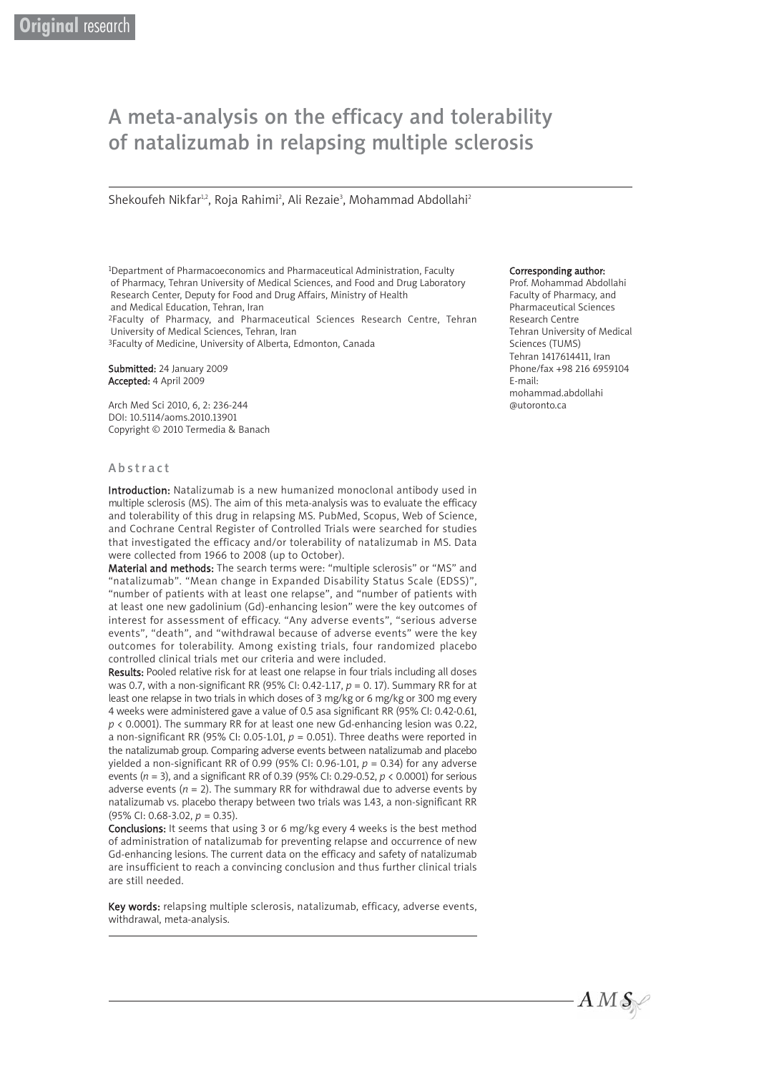# A meta-analysis on the efficacy and tolerability of natalizumab in relapsing multiple sclerosis

Shekoufeh Nikfar12, Roja Rahimi<sup>2</sup>, Ali Rezaie<sup>3</sup>, Mohammad Abdollahi<sup>2</sup>

1Department of Pharmacoeconomics and Pharmaceutical Administration, Faculty of Pharmacy, Tehran University of Medical Sciences, and Food and Drug Laboratory Research Center, Deputy for Food and Drug Affairs, Ministry of Health and Medical Education, Tehran, Iran

2Faculty of Pharmacy, and Pharmaceutical Sciences Research Centre, Tehran University of Medical Sciences, Tehran, Iran

<sup>3</sup>Faculty of Medicine, University of Alberta, Edmonton, Canada

Submitted: 24 January 2009 Accepted: 4 April 2009

Arch Med Sci 2010, 6, 2: 236-244 DOI: 10.5114/aoms.2010.13901 Copyright © 2010 Termedia & Banach

#### Abstract

Introduction: Natalizumab is a new humanized monoclonal antibody used in multiple sclerosis (MS). The aim of this meta-analysis was to evaluate the efficacy and tolerability of this drug in relapsing MS. PubMed, Scopus, Web of Science, and Cochrane Central Register of Controlled Trials were searched for studies that investigated the efficacy and/or tolerability of natalizumab in MS. Data were collected from 1966 to 2008 (up to October).

Material and methods: The search terms were: "multiple sclerosis" or "MS" and "natalizumab". "Mean change in Expanded Disability Status Scale (EDSS)", "number of patients with at least one relapse", and "number of patients with at least one new gadolinium (Gd)-enhancing lesion" were the key outcomes of interest for assessment of efficacy. "Any adverse events", "serious adverse events", "death", and "withdrawal because of adverse events" were the key outcomes for tolerability. Among existing trials, four randomized placebo controlled clinical trials met our criteria and were included.

Results: Pooled relative risk for at least one relapse in four trials including all doses was 0.7, with a non-significant RR (95% CI: 0.42-1.17, *p* = 0. 17). Summary RR for at least one relapse in two trials in which doses of 3 mg/kg or 6 mg/kg or 300 mg every 4 weeks were administered gave a value of 0.5 asa significant RR (95% CI: 0.42-0.61, *p* < 0.0001). The summary RR for at least one new Gd-enhancing lesion was 0.22, a non-significant RR (95% CI: 0.05-1.01,  $p = 0.051$ ). Three deaths were reported in the natalizumab group. Comparing adverse events between natalizumab and placebo yielded a non-significant RR of 0.99 (95% CI: 0.96-1.01, *p* = 0.34) for any adverse events (*n* = 3), and a significant RR of 0.39 (95% CI: 0.29-0.52, *p* < 0.0001) for serious adverse events ( $n = 2$ ). The summary RR for withdrawal due to adverse events by natalizumab vs. placebo therapy between two trials was 1.43, a non-significant RR (95% CI: 0.68-3.02, *p* = 0.35).

Conclusions: It seems that using 3 or 6 mg/kg every 4 weeks is the best method of administration of natalizumab for preventing relapse and occurrence of new Gd-enhancing lesions. The current data on the efficacy and safety of natalizumab are insufficient to reach a convincing conclusion and thus further clinical trials are still needed.

Key words: relapsing multiple sclerosis, natalizumab, efficacy, adverse events, withdrawal, meta-analysis.

#### Corresponding author:

Prof. Mohammad Abdollahi Faculty of Pharmacy, and Pharmaceutical Sciences Research Centre Tehran University of Medical Sciences (TUMS) Tehran 1417614411, Iran Phone/fax +98 216 6959104 E-mail: mohammad.abdollahi @utoronto.ca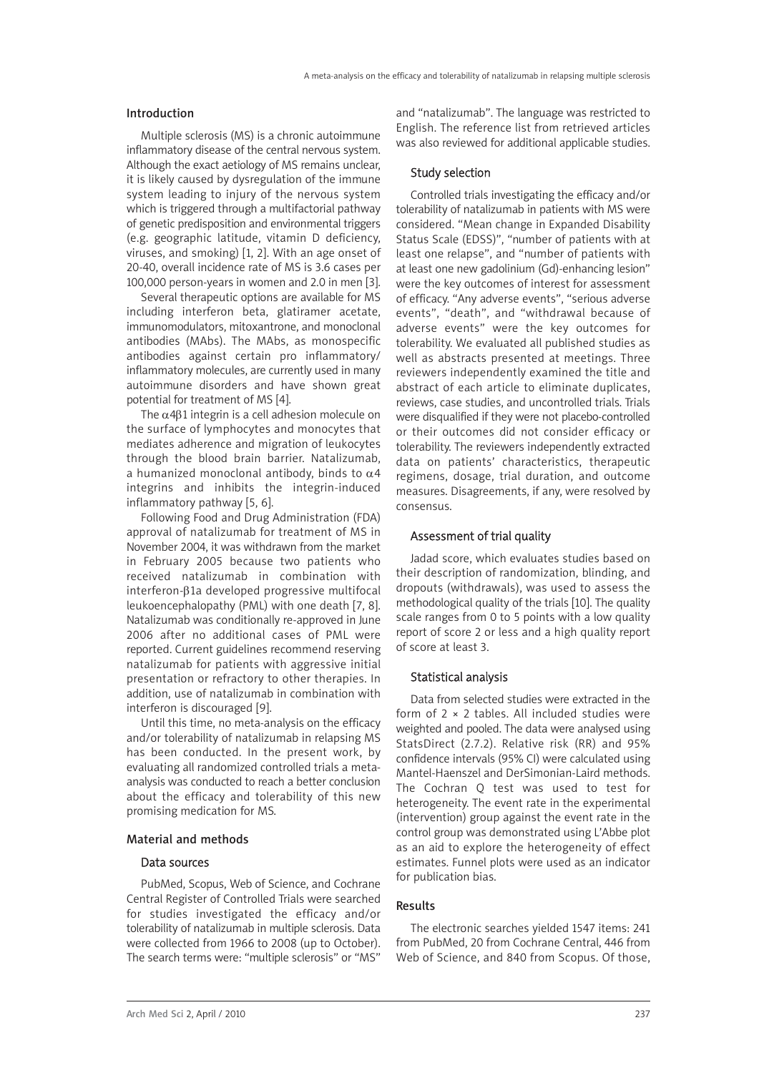## Introduction

Multiple sclerosis (MS) is a chronic autoimmune inflammatory disease of the central nervous system. Although the exact aetiology of MS remains unclear, it is likely caused by dysregulation of the immune system leading to injury of the nervous system which is triggered through a multifactorial pathway of genetic predisposition and environmental triggers (e.g. geographic latitude, vitamin D deficiency, viruses, and smoking) [1, 2]. With an age onset of 20-40, overall incidence rate of MS is 3.6 cases per 100,000 person-years in women and 2.0 in men [3].

Several therapeutic options are available for MS including interferon beta, glatiramer acetate, immunomodulators, mitoxantrone, and monoclonal antibodies (MAbs). The MAbs, as monospecific antibodies against certain pro inflammatory/ inflammatory molecules, are currently used in many autoimmune disorders and have shown great potential for treatment of MS [4].

The  $\alpha$ 4 $\beta$ 1 integrin is a cell adhesion molecule on the surface of lymphocytes and monocytes that mediates adherence and migration of leukocytes through the blood brain barrier. Natalizumab, a humanized monoclonal antibody, binds to  $\alpha$ 4 integrins and inhibits the integrin-induced inflammatory pathway [5, 6].

Following Food and Drug Administration (FDA) approval of natalizumab for treatment of MS in November 2004, it was withdrawn from the market in February 2005 because two patients who received natalizumab in combination with interferon-β1a developed progressive multifocal leukoencephalopathy (PML) with one death [7, 8]. Natalizumab was conditionally re-approved in June 2006 after no additional cases of PML were reported. Current guidelines recommend reserving natalizumab for patients with aggressive initial presentation or refractory to other therapies. In addition, use of natalizumab in combination with interferon is discouraged [9].

Until this time, no meta-analysis on the efficacy and/or tolerability of natalizumab in relapsing MS has been conducted. In the present work, by evaluating all randomized controlled trials a metaanalysis was conducted to reach a better conclusion about the efficacy and tolerability of this new promising medication for MS.

#### Material and methods

# Data sources

PubMed, Scopus, Web of Science, and Cochrane Central Register of Controlled Trials were searched for studies investigated the efficacy and/or tolerability of natalizumab in multiple sclerosis. Data were collected from 1966 to 2008 (up to October). The search terms were: "multiple sclerosis" or "MS"

and "natalizumab". The language was restricted to English. The reference list from retrieved articles was also reviewed for additional applicable studies.

## Study selection

Controlled trials investigating the efficacy and/or tolerability of natalizumab in patients with MS were considered. "Mean change in Expanded Disability Status Scale (EDSS)", "number of patients with at least one relapse", and "number of patients with at least one new gadolinium (Gd)-enhancing lesion" were the key outcomes of interest for assessment of efficacy. "Any adverse events", "serious adverse events", "death", and "withdrawal because of adverse events" were the key outcomes for tolerability. We evaluated all published studies as well as abstracts presented at meetings. Three reviewers independently examined the title and abstract of each article to eliminate duplicates, reviews, case studies, and uncontrolled trials. Trials were disqualified if they were not placebo-controlled or their outcomes did not consider efficacy or tolerability. The reviewers independently extracted data on patients' characteristics, therapeutic regimens, dosage, trial duration, and outcome measures. Disagreements, if any, were resolved by consensus.

# Assessment of trial quality

Jadad score, which evaluates studies based on their description of randomization, blinding, and dropouts (withdrawals), was used to assess the methodological quality of the trials [10]. The quality scale ranges from 0 to 5 points with a low quality report of score 2 or less and a high quality report of score at least 3.

#### Statistical analysis

Data from selected studies were extracted in the form of  $2 \times 2$  tables. All included studies were weighted and pooled. The data were analysed using StatsDirect (2.7.2). Relative risk (RR) and 95% confidence intervals (95% CI) were calculated using Mantel-Haenszel and DerSimonian-Laird methods. The Cochran Q test was used to test for heterogeneity. The event rate in the experimental (intervention) group against the event rate in the control group was demonstrated using L'Abbe plot as an aid to explore the heterogeneity of effect estimates. Funnel plots were used as an indicator for publication bias.

# Results

The electronic searches yielded 1547 items: 241 from PubMed, 20 from Cochrane Central, 446 from Web of Science, and 840 from Scopus. Of those,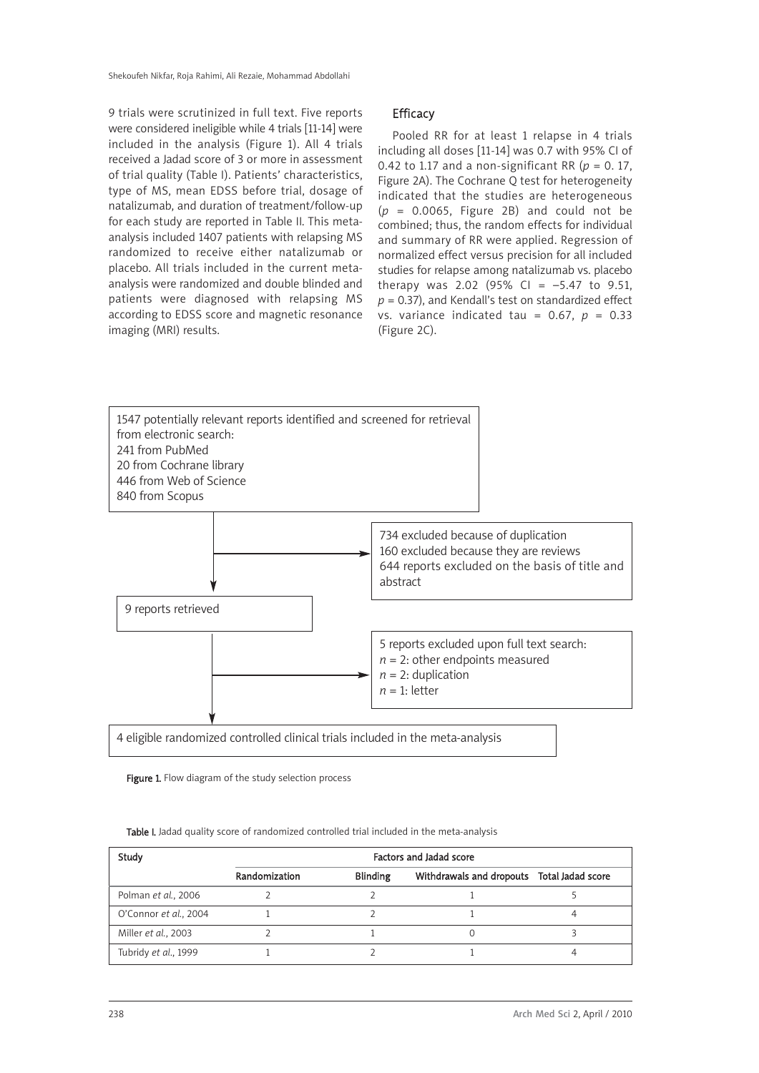9 trials were scrutinized in full text. Five reports were considered ineligible while 4 trials [11-14] were included in the analysis (Figure 1). All 4 trials received a Jadad score of 3 or more in assessment of trial quality (Table I). Patients' characteristics, type of MS, mean EDSS before trial, dosage of natalizumab, and duration of treatment/follow-up for each study are reported in Table II. This metaanalysis included 1407 patients with relapsing MS randomized to receive either natalizumab or placebo. All trials included in the current metaanalysis were randomized and double blinded and patients were diagnosed with relapsing MS according to EDSS score and magnetic resonance imaging (MRI) results.

### **Efficacy**

Pooled RR for at least 1 relapse in 4 trials including all doses [11-14] was 0.7 with 95% CI of 0.42 to 1.17 and a non-significant RR ( $p = 0.17$ , Figure 2A). The Cochrane Q test for heterogeneity indicated that the studies are heterogeneous  $(p = 0.0065,$  Figure 2B) and could not be combined; thus, the random effects for individual and summary of RR were applied. Regression of normalized effect versus precision for all included studies for relapse among natalizumab vs. placebo therapy was 2.02 (95% CI =  $-5.47$  to 9.51, *p* = 0.37), and Kendall's test on standardized effect vs. variance indicated tau = 0.67, *p* = 0.33 (Figure 2C).



Figure 1. Flow diagram of the study selection process

| <b>Table I.</b> Jadad quality score of randomized controlled trial included in the meta-analysis |
|--------------------------------------------------------------------------------------------------|
|--------------------------------------------------------------------------------------------------|

| Study                 | Factors and Jadad score |                                            |  |  |  |  |
|-----------------------|-------------------------|--------------------------------------------|--|--|--|--|
|                       | Randomization           | Withdrawals and dropouts Total Jadad score |  |  |  |  |
| Polman et al., 2006   |                         |                                            |  |  |  |  |
| O'Connor et al., 2004 |                         |                                            |  |  |  |  |
| Miller et al., 2003   |                         |                                            |  |  |  |  |
| Tubridy et al., 1999  |                         |                                            |  |  |  |  |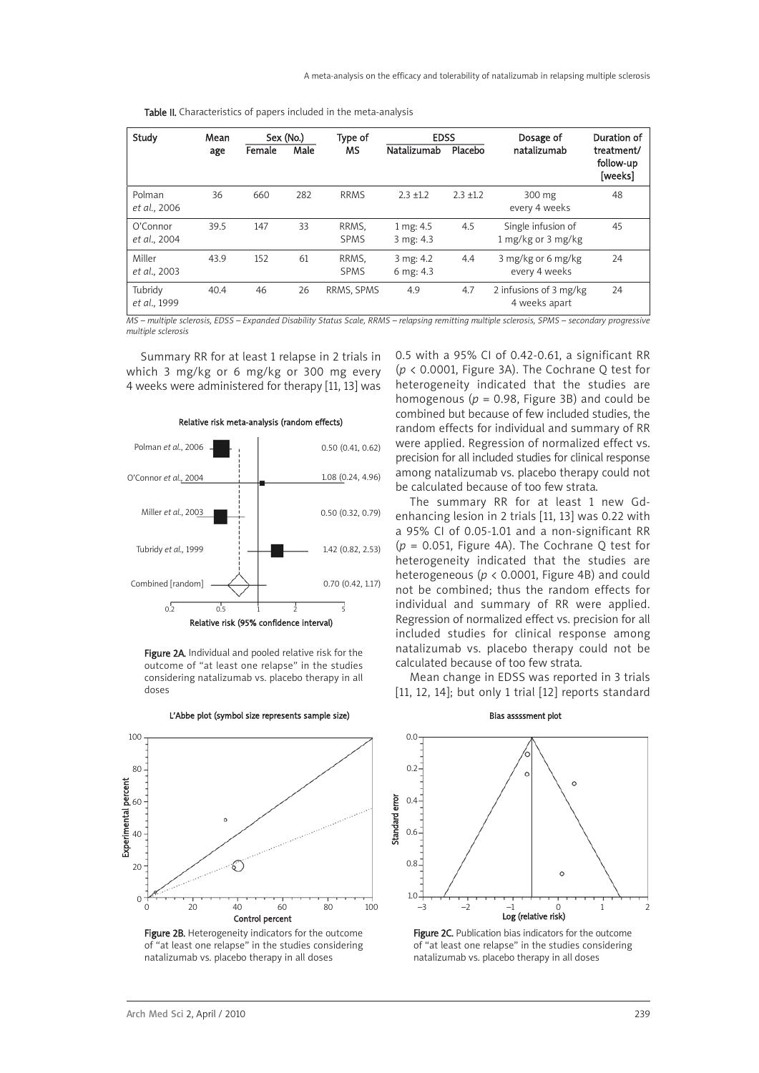Table II. Characteristics of papers included in the meta-analysis

| Study                    | Mean<br>age | Female | Sex (No.)<br>Male | Type of<br>MS        | <b>EDSS</b><br>Natalizumab | Placebo     | Dosage of<br>natalizumab                 | Duration of<br>treatment/<br>follow-up<br>[weeks] |
|--------------------------|-------------|--------|-------------------|----------------------|----------------------------|-------------|------------------------------------------|---------------------------------------------------|
| Polman<br>et al., 2006   | 36          | 660    | 282               | <b>RRMS</b>          | $2.3 + 1.2$                | $2.3 + 1.2$ | 300 mg<br>every 4 weeks                  | 48                                                |
| O'Connor<br>et al., 2004 | 39.5        | 147    | 33                | RRMS.<br><b>SPMS</b> | 1 mg: 4.5<br>3 mg: 4.3     | 4.5         | Single infusion of<br>1 mg/kg or 3 mg/kg | 45                                                |
| Miller<br>et al., 2003   | 43.9        | 152    | 61                | RRMS.<br><b>SPMS</b> | 3 mg: 4.2<br>6 mg: 4.3     | 4.4         | 3 mg/kg or 6 mg/kg<br>every 4 weeks      | 24                                                |
| Tubridy<br>et al., 1999  | 40.4        | 46     | 26                | RRMS, SPMS           | 4.9                        | 4.7         | 2 infusions of 3 mg/kg<br>4 weeks apart  | 24                                                |

*MS – multiple sclerosis, EDSS – Expanded Disability Status Scale, RRMS – relapsing remitting multiple sclerosis, SPMS – secondary progressive multiple sclerosis*

Summary RR for at least 1 relapse in 2 trials in which 3 mg/kg or 6 mg/kg or 300 mg every 4 weeks were administered for therapy [11, 13] was



#### Relative risk meta-analysis (random effects)

Figure 2A. Individual and pooled relative risk for the outcome of "at least one relapse" in the studies considering natalizumab vs. placebo therapy in all doses



natalizumab vs. placebo therapy in all doses

L'Abbe plot (symbol size represents sample size)

heterogeneity indicated that the studies are homogenous ( $p = 0.98$ , Figure 3B) and could be combined but because of few included studies, the random effects for individual and summary of RR were applied. Regression of normalized effect vs. precision for all included studies for clinical response among natalizumab vs. placebo therapy could not be calculated because of too few strata. The summary RR for at least 1 new Gd-

0.5 with a 95% CI of 0.42-0.61, a significant RR (*p* < 0.0001, Figure 3A). The Cochrane Q test for

enhancing lesion in 2 trials [11, 13] was 0.22 with a 95% CI of 0.05-1.01 and a non-significant RR (*p* = 0.051, Figure 4A). The Cochrane Q test for heterogeneity indicated that the studies are heterogeneous (*p* < 0.0001, Figure 4B) and could not be combined; thus the random effects for individual and summary of RR were applied. Regression of normalized effect vs. precision for all included studies for clinical response among natalizumab vs. placebo therapy could not be calculated because of too few strata.

Mean change in EDSS was reported in 3 trials [11, 12, 14]; but only 1 trial [12] reports standard



Figure 2C. Publication bias indicators for the outcome of "at least one relapse" in the studies considering natalizumab vs. placebo therapy in all doses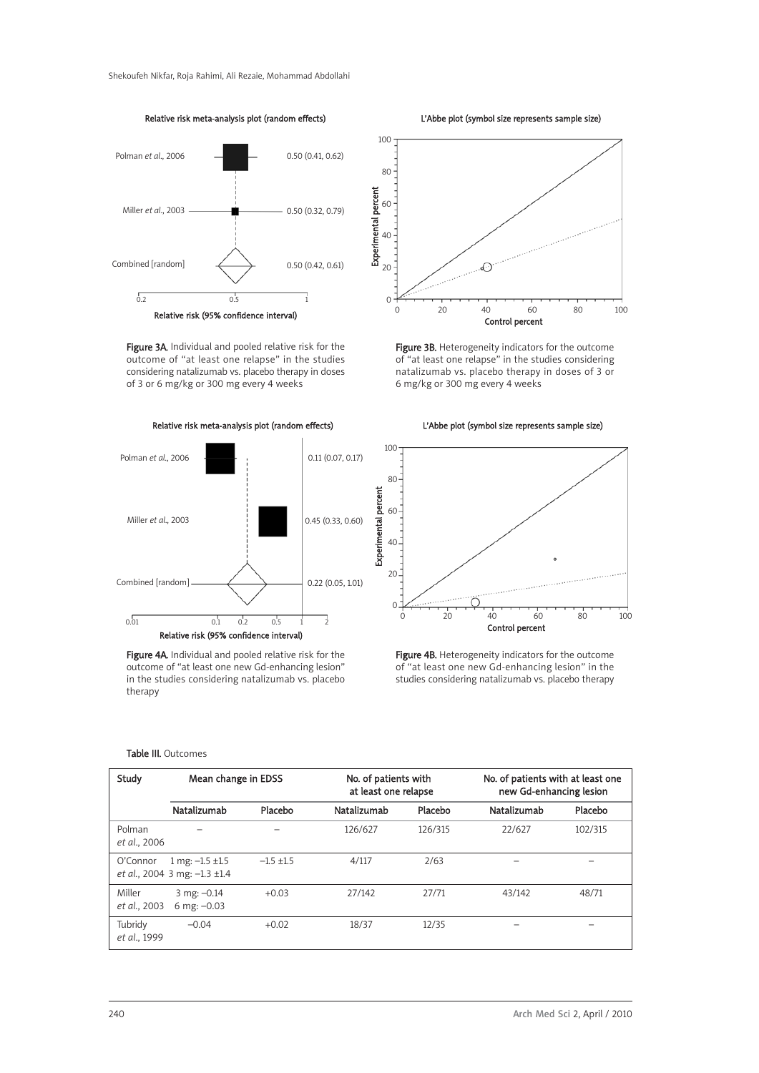

Relative risk meta-analysis plot (random effects)

Figure 3A. Individual and pooled relative risk for the outcome of "at least one relapse" in the studies considering natalizumab vs. placebo therapy in doses of 3 or 6 mg/kg or 300 mg every 4 weeks

Relative risk meta-analysis plot (random effects)



Figure 4A. Individual and pooled relative risk for the outcome of "at least one new Gd-enhancing lesion" in the studies considering natalizumab vs. placebo therapy

L'Abbe plot (symbol size represents sample size)



Figure 3B. Heterogeneity indicators for the outcome of "at least one relapse" in the studies considering natalizumab vs. placebo therapy in doses of 3 or 6 mg/kg or 300 mg every 4 weeks

L'Abbe plot (symbol size represents sample size)



Figure 4B. Heterogeneity indicators for the outcome of "at least one new Gd-enhancing lesion" in the studies considering natalizumab vs. placebo therapy

#### Table III. Outcomes

| Study                   | Mean change in EDSS                                       |                  | No. of patients with<br>at least one relapse |         | No. of patients with at least one<br>new Gd-enhancing lesion |         |  |
|-------------------------|-----------------------------------------------------------|------------------|----------------------------------------------|---------|--------------------------------------------------------------|---------|--|
|                         | Natalizumab                                               | Placebo          | Natalizumab                                  | Placebo | Natalizumab                                                  | Placebo |  |
| Polman<br>et al., 2006  |                                                           |                  | 126/627                                      | 126/315 | 22/627                                                       | 102/315 |  |
| O'Connor                | 1 mg: $-1.5 \pm 1.5$<br>et al., 2004 3 mg: $-1.3 \pm 1.4$ | $-1.5$ $\pm 1.5$ | 4/117                                        | 2/63    |                                                              |         |  |
| Miller<br>et al., 2003  | $3$ mg: $-0.14$<br>6 mg: $-0.03$                          | $+0.03$          | 27/142                                       | 27/71   | 43/142                                                       | 48/71   |  |
| Tubridy<br>et al., 1999 | $-0.04$                                                   | $+0.02$          | 18/37                                        | 12/35   |                                                              |         |  |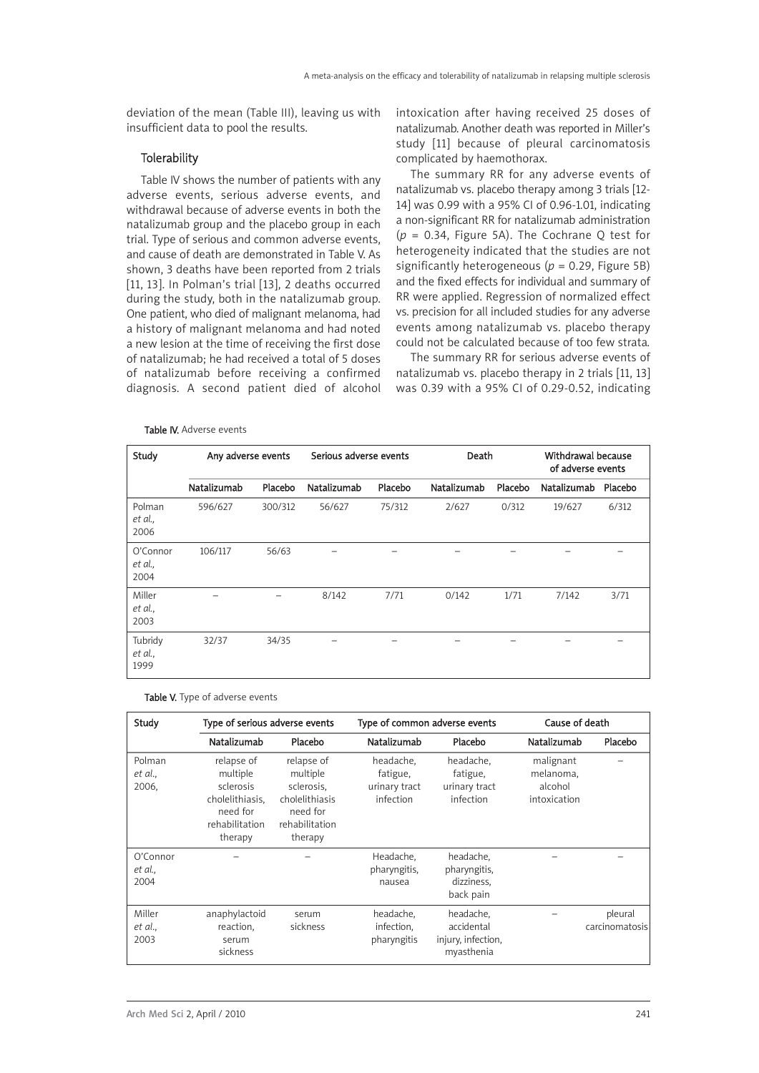deviation of the mean (Table III), leaving us with insufficient data to pool the results.

## **Tolerability**

Table IV shows the number of patients with any adverse events, serious adverse events, and withdrawal because of adverse events in both the natalizumab group and the placebo group in each trial. Type of serious and common adverse events, and cause of death are demonstrated in Table V. As shown, 3 deaths have been reported from 2 trials [11, 13]. In Polman's trial [13], 2 deaths occurred during the study, both in the natalizumab group. One patient, who died of malignant melanoma, had a history of malignant melanoma and had noted a new lesion at the time of receiving the first dose of natalizumab; he had received a total of 5 doses of natalizumab before receiving a confirmed diagnosis. A second patient died of alcohol

#### Table IV. Adverse events

intoxication after having received 25 doses of natalizumab. Another death was reported in Miller's study [11] because of pleural carcinomatosis complicated by haemothorax.

The summary RR for any adverse events of natalizumab vs. placebo therapy among 3 trials [12- 14] was 0.99 with a 95% CI of 0.96-1.01, indicating a non-significant RR for natalizumab administration (*p* = 0.34, Figure 5A). The Cochrane Q test for heterogeneity indicated that the studies are not significantly heterogeneous (*p* = 0.29, Figure 5B) and the fixed effects for individual and summary of RR were applied. Regression of normalized effect vs. precision for all included studies for any adverse events among natalizumab vs. placebo therapy could not be calculated because of too few strata.

The summary RR for serious adverse events of natalizumab vs. placebo therapy in 2 trials [11, 13] was 0.39 with a 95% CI of 0.29-0.52, indicating

| Study                       | Any adverse events |         | Serious adverse events |         | Death       |         | Withdrawal because<br>of adverse events |         |
|-----------------------------|--------------------|---------|------------------------|---------|-------------|---------|-----------------------------------------|---------|
|                             | Natalizumab        | Placebo | Natalizumab            | Placebo | Natalizumab | Placebo | Natalizumab                             | Placebo |
| Polman<br>et al.,<br>2006   | 596/627            | 300/312 | 56/627                 | 75/312  | 2/627       | 0/312   | 19/627                                  | 6/312   |
| O'Connor<br>et al.,<br>2004 | 106/117            | 56/63   |                        |         |             |         |                                         |         |
| Miller<br>et al.,<br>2003   |                    |         | 8/142                  | 7/71    | 0/142       | 1/71    | 7/142                                   | 3/71    |
| Tubridy<br>et al.,<br>1999  | 32/37              | 34/35   |                        |         |             |         |                                         |         |

| Study                       | Type of serious adverse events                                                                  |                                                                                                 | Type of common adverse events                       |                                                             | Cause of death                                    |                           |
|-----------------------------|-------------------------------------------------------------------------------------------------|-------------------------------------------------------------------------------------------------|-----------------------------------------------------|-------------------------------------------------------------|---------------------------------------------------|---------------------------|
|                             | Natalizumab                                                                                     | Placebo                                                                                         | Natalizumab                                         | Placebo                                                     | Natalizumab                                       | Placebo                   |
| Polman<br>et al.,<br>2006,  | relapse of<br>multiple<br>sclerosis<br>cholelithiasis.<br>need for<br>rehabilitation<br>therapy | relapse of<br>multiple<br>sclerosis,<br>cholelithiasis<br>need for<br>rehabilitation<br>therapy | headache,<br>fatigue,<br>urinary tract<br>infection | headache,<br>fatigue,<br>urinary tract<br>infection         | malignant<br>melanoma,<br>alcohol<br>intoxication |                           |
| O'Connor<br>et al.,<br>2004 |                                                                                                 |                                                                                                 | Headache,<br>pharyngitis,<br>nausea                 | headache,<br>pharyngitis,<br>dizziness.<br>back pain        |                                                   |                           |
| Miller<br>et al.,<br>2003   | anaphylactoid<br>reaction,<br>serum<br>sickness                                                 | serum<br>sickness                                                                               | headache,<br>infection,<br>pharyngitis              | headache,<br>accidental<br>injury, infection,<br>myasthenia |                                                   | pleural<br>carcinomatosis |

Table V. Type of adverse events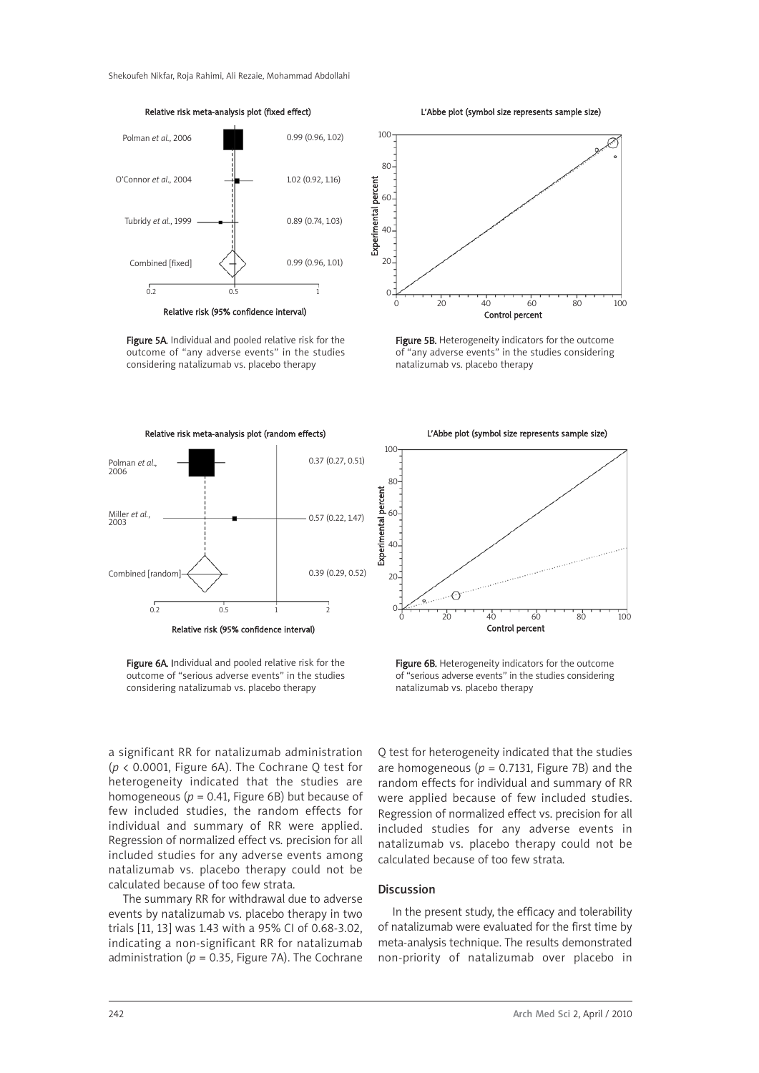Relative risk meta-analysis plot (fixed effect)



Relative risk (95% confidence interval)

Figure 5A. Individual and pooled relative risk for the outcome of "any adverse events" in the studies considering natalizumab vs. placebo therapy



Figure 6A. Individual and pooled relative risk for the outcome of "serious adverse events" in the studies considering natalizumab vs. placebo therapy

a significant RR for natalizumab administration (*p* < 0.0001, Figure 6A). The Cochrane Q test for heterogeneity indicated that the studies are homogeneous ( $p = 0.41$ , Figure 6B) but because of few included studies, the random effects for individual and summary of RR were applied. Regression of normalized effect vs. precision for all included studies for any adverse events among natalizumab vs. placebo therapy could not be calculated because of too few strata.

The summary RR for withdrawal due to adverse events by natalizumab vs. placebo therapy in two trials [11, 13] was 1.43 with a 95% CI of 0.68-3.02, indicating a non-significant RR for natalizumab administration ( $p = 0.35$ , Figure 7A). The Cochrane

L'Abbe plot (symbol size represents sample size)



Figure 5B. Heterogeneity indicators for the outcome of "any adverse events" in the studies considering natalizumab vs. placebo therapy

L'Abbe plot (symbol size represents sample size)



Figure 6B. Heterogeneity indicators for the outcome of "serious adverse events" in the studies considering natalizumab vs. placebo therapy

Q test for heterogeneity indicated that the studies are homogeneous ( $p = 0.7131$ , Figure 7B) and the random effects for individual and summary of RR were applied because of few included studies. Regression of normalized effect vs. precision for all included studies for any adverse events in natalizumab vs. placebo therapy could not be calculated because of too few strata.

#### Discussion

In the present study, the efficacy and tolerability of natalizumab were evaluated for the first time by meta-analysis technique. The results demonstrated non-priority of natalizumab over placebo in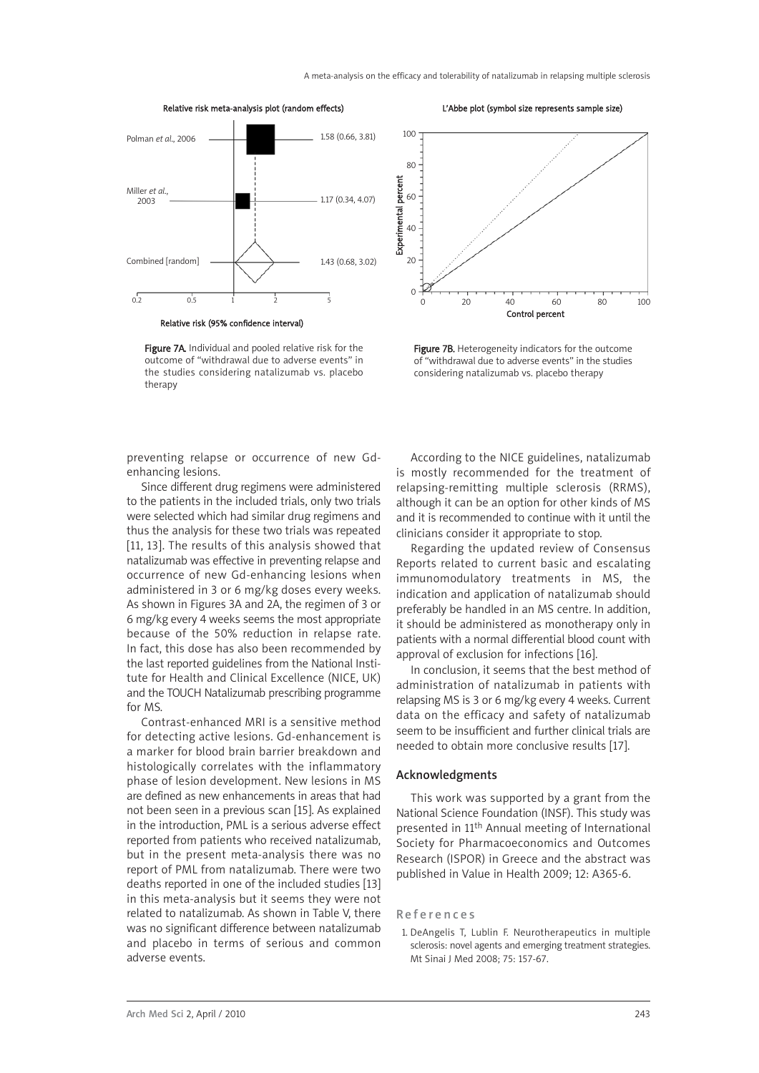

Relative risk (95% confidence interval)

Figure 7A. Individual and pooled relative risk for the outcome of "withdrawal due to adverse events" in the studies considering natalizumab vs. placebo therapy



L'Abbe plot (symbol size represents sample size)

Figure 7B. Heterogeneity indicators for the outcome of "withdrawal due to adverse events" in the studies considering natalizumab vs. placebo therapy

Control percent

preventing relapse or occurrence of new Gdenhancing lesions.

Since different drug regimens were administered to the patients in the included trials, only two trials were selected which had similar drug regimens and thus the analysis for these two trials was repeated [11, 13]. The results of this analysis showed that natalizumab was effective in preventing relapse and occurrence of new Gd-enhancing lesions when administered in 3 or 6 mg/kg doses every weeks. As shown in Figures 3A and 2A, the regimen of 3 or 6 mg/kg every 4 weeks seems the most appropriate because of the 50% reduction in relapse rate. In fact, this dose has also been recommended by the last reported guidelines from the National Institute for Health and Clinical Excellence (NICE, UK) and the TOUCH Natalizumab prescribing programme for MS.

Contrast-enhanced MRI is a sensitive method for detecting active lesions. Gd-enhancement is a marker for blood brain barrier breakdown and histologically correlates with the inflammatory phase of lesion development. New lesions in MS are defined as new enhancements in areas that had not been seen in a previous scan [15]. As explained in the introduction, PML is a serious adverse effect reported from patients who received natalizumab, but in the present meta-analysis there was no report of PML from natalizumab. There were two deaths reported in one of the included studies [13] in this meta-analysis but it seems they were not related to natalizumab. As shown in Table V, there was no significant difference between natalizumab and placebo in terms of serious and common adverse events.

According to the NICE guidelines, natalizumab is mostly recommended for the treatment of relapsing-remitting multiple sclerosis (RRMS), although it can be an option for other kinds of MS and it is recommended to continue with it until the clinicians consider it appropriate to stop.

Regarding the updated review of Consensus Reports related to current basic and escalating immunomodulatory treatments in MS, the indication and application of natalizumab should preferably be handled in an MS centre. In addition, it should be administered as monotherapy only in patients with a normal differential blood count with approval of exclusion for infections [16].

In conclusion, it seems that the best method of administration of natalizumab in patients with relapsing MS is 3 or 6 mg/kg every 4 weeks. Current data on the efficacy and safety of natalizumab seem to be insufficient and further clinical trials are needed to obtain more conclusive results [17].

#### Acknowledgments

This work was supported by a grant from the National Science Foundation (INSF). This study was presented in 11th Annual meeting of International Society for Pharmacoeconomics and Outcomes Research (ISPOR) in Greece and the abstract was published in Value in Health 2009; 12: A365-6.

1. DeAngelis T, Lublin F. Neurotherapeutics in multiple sclerosis: novel agents and emerging treatment strategies. Mt Sinai J Med 2008; 75: 157-67.

References